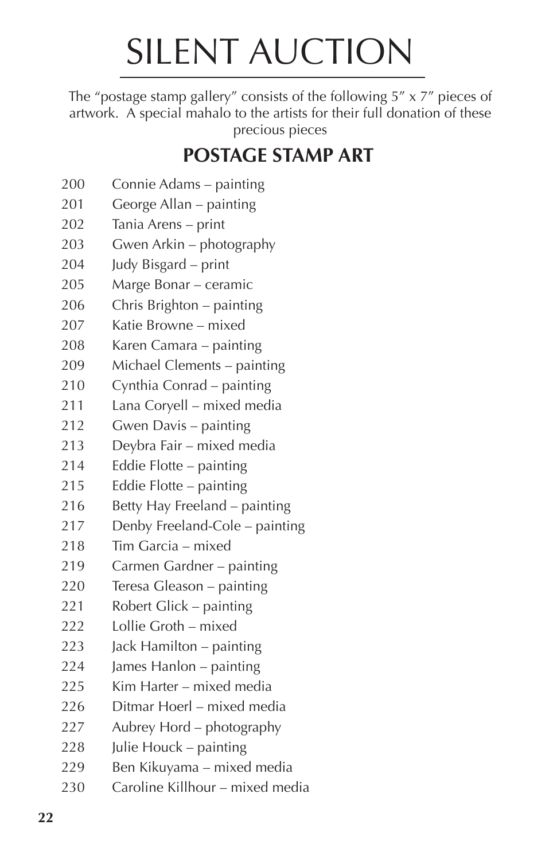## SILENT AUCTION

The "postage stamp gallery" consists of the following 5" x 7" pieces of artwork. A special mahalo to the artists for their full donation of these precious pieces

## **POSTAGE STAMP ART**

- Connie Adams painting
- George Allan painting
- Tania Arens print
- Gwen Arkin photography
- Judy Bisgard print
- Marge Bonar ceramic
- Chris Brighton painting
- Katie Browne mixed
- Karen Camara painting
- Michael Clements painting
- Cynthia Conrad painting
- Lana Coryell mixed media
- Gwen Davis painting
- Deybra Fair mixed media
- Eddie Flotte painting
- Eddie Flotte painting
- Betty Hay Freeland painting
- Denby Freeland-Cole painting
- Tim Garcia mixed
- Carmen Gardner painting
- Teresa Gleason painting
- Robert Glick painting
- Lollie Groth mixed
- Jack Hamilton painting
- James Hanlon painting
- Kim Harter mixed media
- Ditmar Hoerl mixed media
- Aubrey Hord photography
- Julie Houck painting
- Ben Kikuyama mixed media
- Caroline Killhour mixed media